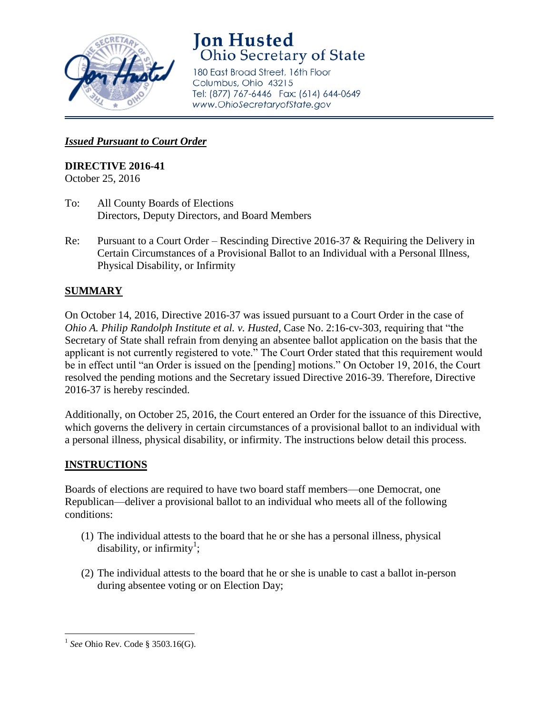

# **Jon Husted**<br>Ohio Secretary of State

180 East Broad Street, 16th Floor Columbus, Ohio 43215 Tel: (877) 767-6446 Fax: (614) 644-0649 www.OhioSecretaryofState.gov

#### *Issued Pursuant to Court Order*

## **DIRECTIVE 2016-41**

October 25, 2016

- To: All County Boards of Elections Directors, Deputy Directors, and Board Members
- Re: Pursuant to a Court Order Rescinding Directive 2016-37 & Requiring the Delivery in Certain Circumstances of a Provisional Ballot to an Individual with a Personal Illness, Physical Disability, or Infirmity

## **SUMMARY**

On October 14, 2016, Directive 2016-37 was issued pursuant to a Court Order in the case of *Ohio A. Philip Randolph Institute et al. v. Husted*, Case No. 2:16-cv-303, requiring that "the Secretary of State shall refrain from denying an absentee ballot application on the basis that the applicant is not currently registered to vote." The Court Order stated that this requirement would be in effect until "an Order is issued on the [pending] motions." On October 19, 2016, the Court resolved the pending motions and the Secretary issued Directive 2016-39. Therefore, Directive 2016-37 is hereby rescinded.

Additionally, on October 25, 2016, the Court entered an Order for the issuance of this Directive, which governs the delivery in certain circumstances of a provisional ballot to an individual with a personal illness, physical disability, or infirmity. The instructions below detail this process.

### **INSTRUCTIONS**

Boards of elections are required to have two board staff members—one Democrat, one Republican—deliver a provisional ballot to an individual who meets all of the following conditions:

- (1) The individual attests to the board that he or she has a personal illness, physical disability, or infirmity<sup>1</sup>;
- (2) The individual attests to the board that he or she is unable to cast a ballot in-person during absentee voting or on Election Day;

 $\overline{\phantom{a}}$ <sup>1</sup> See Ohio Rev. Code § 3503.16(G).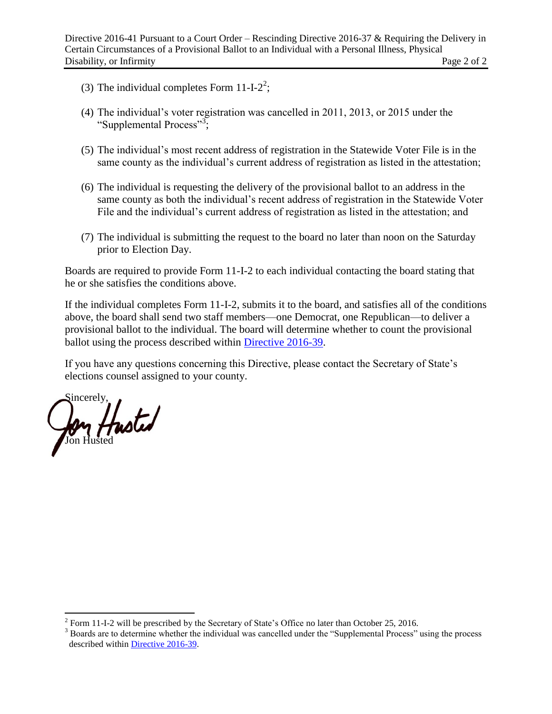- (3) The individual completes Form  $11-I-2^2$ ;
- (4) The individual's voter registration was cancelled in 2011, 2013, or 2015 under the "Supplemental Process"<sup>3</sup>;
- (5) The individual's most recent address of registration in the Statewide Voter File is in the same county as the individual's current address of registration as listed in the attestation;
- (6) The individual is requesting the delivery of the provisional ballot to an address in the same county as both the individual's recent address of registration in the Statewide Voter File and the individual's current address of registration as listed in the attestation; and
- (7) The individual is submitting the request to the board no later than noon on the Saturday prior to Election Day.

Boards are required to provide Form 11-I-2 to each individual contacting the board stating that he or she satisfies the conditions above.

If the individual completes Form 11-I-2, submits it to the board, and satisfies all of the conditions above, the board shall send two staff members—one Democrat, one Republican—to deliver a provisional ballot to the individual. The board will determine whether to count the provisional ballot using the process described within [Directive 2016-39.](http://www.sos.state.oh.us/SOS/Upload/elections/directives/2016/Dir2016-39.pdf)

If you have any questions concerning this Directive, please contact the Secretary of State's elections counsel assigned to your county.

Sincerely, Jon Husted

 $\overline{\phantom{a}}$  $2^2$  Form 11-I-2 will be prescribed by the Secretary of State's Office no later than October 25, 2016.

<sup>&</sup>lt;sup>3</sup> Boards are to determine whether the individual was cancelled under the "Supplemental Process" using the process described within [Directive 2016-39.](http://www.sos.state.oh.us/SOS/Upload/elections/directives/2016/Dir2016-39.pdf)